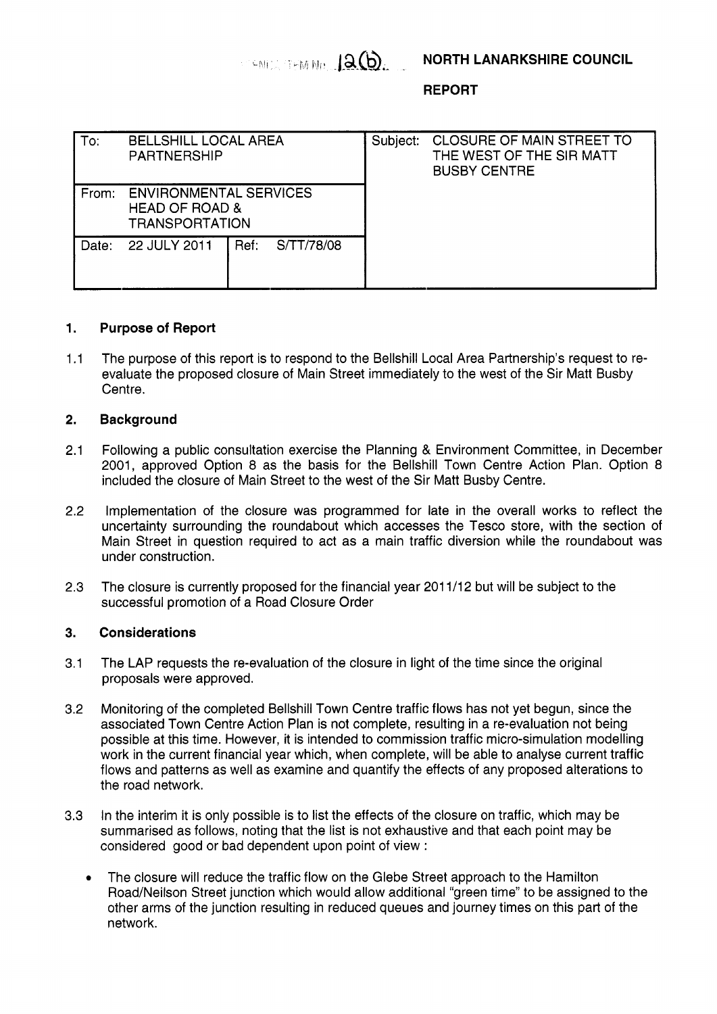LEARCH THM NO. 12 (b)

**REPORT** 

| To:   | <b>BELLSHILL LOCAL AREA</b><br><b>PARTNERSHIP</b>                                   |      |            | Subject: | <b>CLOSURE OF MAIN STREET TO</b><br>THE WEST OF THE SIR MATT<br><b>BUSBY CENTRE</b> |
|-------|-------------------------------------------------------------------------------------|------|------------|----------|-------------------------------------------------------------------------------------|
| From: | <b>ENVIRONMENTAL SERVICES</b><br><b>HEAD OF ROAD &amp;</b><br><b>TRANSPORTATION</b> |      |            |          |                                                                                     |
| Date: | 22 JULY 2011                                                                        | Ref: | S/TT/78/08 |          |                                                                                     |

## **1. Purpose of Report**

1.1 The purpose of this report is to respond to the Bellshill Local Area Partnership's request to reevaluate the proposed closure of Main Street immediately to the west of the Sir Matt Busby Centre.

## **2. Background**

- 2.1 Following a public consultation exercise the Planning & Environment Committee, in December 2001, approved Option 8 as the basis for the Bellshill Town Centre Action Plan. Option 8 included the closure of Main Street to the west of the Sir Matt Busby Centre.
- 2.2 Implementation of the closure was programmed for late in the overall works to reflect the uncertainty surrounding the roundabout which accesses the Tesco store, with the section of Main Street in question required to act as a main traffic diversion while the roundabout was under construction.
- 2.3 The closure is currently proposed for the financial year 201 1/12 but will be subject to the successful promotion of a Road Closure Order

## **3. Considerations**

- 3.1 The LAP requests the re-evaluation of the closure in light of the time since the original proposals were approved.
- 3.2 Monitoring of the completed Bellshill Town Centre traffic flows has not yet begun, since the associated Town Centre Action Plan is not complete, resulting in a re-evaluation not being possible at this time. However, it is intended to commission traffic micro-simulation modelling work in the current financial year which, when complete, will be able to analyse current traffic flows and patterns as well as examine and quantify the effects of any proposed alterations to the road network.
- 3.3 In the interim it is only possible is to list the effects of the closure on traffic, which may be summarised as follows, noting that the list is not exhaustive and that each point may be considered good or bad dependent upon point of view :
	- The closure will reduce the traffic flow on the Glebe Street approach to the Hamilton Road/Neilson Street junction which would allow additional "green time" to be assigned to the other arms of the junction resulting in reduced queues and journey times on this part of the network.